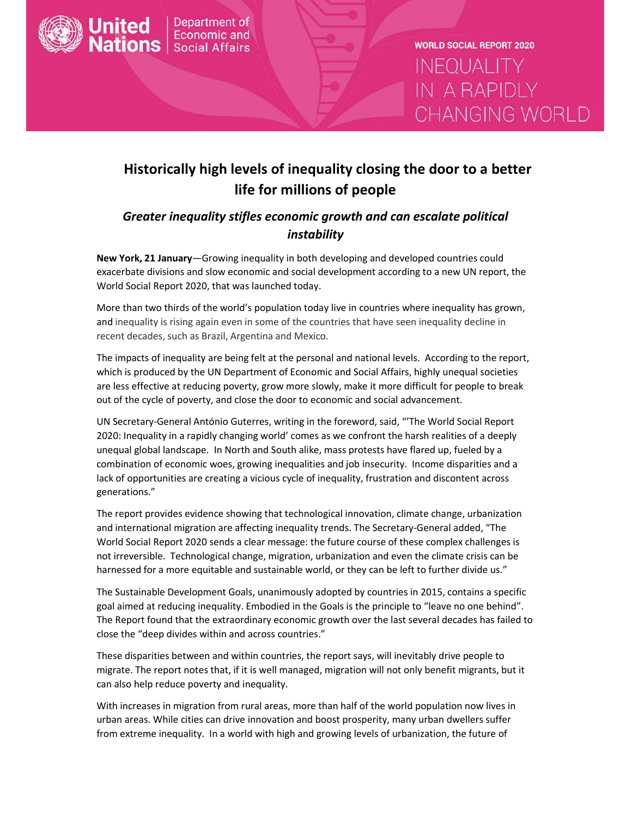

**WORLD SOCIAL REPORT 2020 INEQUALITY IN A RAPIDLY** CHANGING WORLD

# **Historically high levels of inequality closing the door to a better life for millions of people**

## *Greater inequality stifles economic growth and can escalate political instability*

**New York, 21 January**—Growing inequality in both developing and developed countries could exacerbate divisions and slow economic and social development according to a new UN report, the World Social Report 2020, that was launched today.

More than two thirds of the world's population today live in countries where inequality has grown, and inequality is rising again even in some of the countries that have seen inequality decline in recent decades, such as Brazil, Argentina and Mexico.

The impacts of inequality are being felt at the personal and national levels. According to the report, which is produced by the UN Department of Economic and Social Affairs, highly unequal societies are less effective at reducing poverty, grow more slowly, make it more difficult for people to break out of the cycle of poverty, and close the door to economic and social advancement.

UN Secretary-General António Guterres, writing in the foreword, said, "'The World Social Report 2020: Inequality in a rapidly changing world' comes as we confront the harsh realities of a deeply unequal global landscape. In North and South alike, mass protests have flared up, fueled by a combination of economic woes, growing inequalities and job insecurity. Income disparities and a lack of opportunities are creating a vicious cycle of inequality, frustration and discontent across generations."

The report provides evidence showing that technological innovation, climate change, urbanization and international migration are affecting inequality trends. The Secretary-General added, "The World Social Report 2020 sends a clear message: the future course of these complex challenges is not irreversible. Technological change, migration, urbanization and even the climate crisis can be harnessed for a more equitable and sustainable world, or they can be left to further divide us."

The Sustainable Development Goals, unanimously adopted by countries in 2015, contains a specific goal aimed at reducing inequality. Embodied in the Goals is the principle to "leave no one behind". The Report found that the extraordinary economic growth over the last several decades has failed to close the "deep divides within and across countries."

These disparities between and within countries, the report says, will inevitably drive people to migrate. The report notes that, if it is well managed, migration will not only benefit migrants, but it can also help reduce poverty and inequality.

With increases in migration from rural areas, more than half of the world population now lives in urban areas. While cities can drive innovation and boost prosperity, many urban dwellers suffer from extreme inequality. In a world with high and growing levels of urbanization, the future of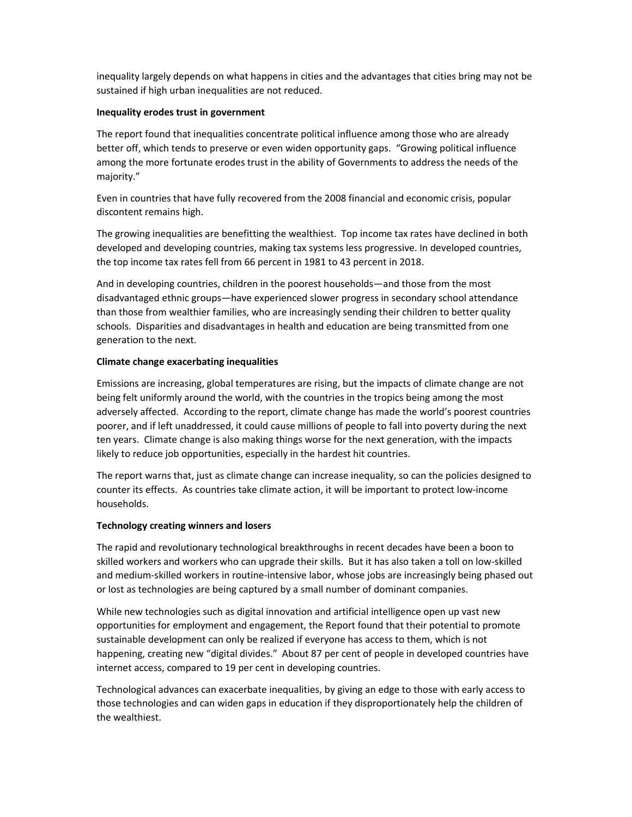inequality largely depends on what happens in cities and the advantages that cities bring may not be sustained if high urban inequalities are not reduced.

#### **Inequality erodes trust in government**

The report found that inequalities concentrate political influence among those who are already better off, which tends to preserve or even widen opportunity gaps. "Growing political influence among the more fortunate erodes trust in the ability of Governments to address the needs of the majority."

Even in countries that have fully recovered from the 2008 financial and economic crisis, popular discontent remains high.

The growing inequalities are benefitting the wealthiest. Top income tax rates have declined in both developed and developing countries, making tax systems less progressive. In developed countries, the top income tax rates fell from 66 percent in 1981 to 43 percent in 2018.

And in developing countries, children in the poorest households—and those from the most disadvantaged ethnic groups—have experienced slower progress in secondary school attendance than those from wealthier families, who are increasingly sending their children to better quality schools. Disparities and disadvantages in health and education are being transmitted from one generation to the next.

#### **Climate change exacerbating inequalities**

Emissions are increasing, global temperatures are rising, but the impacts of climate change are not being felt uniformly around the world, with the countries in the tropics being among the most adversely affected. According to the report, climate change has made the world's poorest countries poorer, and if left unaddressed, it could cause millions of people to fall into poverty during the next ten years. Climate change is also making things worse for the next generation, with the impacts likely to reduce job opportunities, especially in the hardest hit countries.

The report warns that, just as climate change can increase inequality, so can the policies designed to counter its effects. As countries take climate action, it will be important to protect low-income households.

#### **Technology creating winners and losers**

The rapid and revolutionary technological breakthroughs in recent decades have been a boon to skilled workers and workers who can upgrade their skills. But it has also taken a toll on low-skilled and medium-skilled workers in routine-intensive labor, whose jobs are increasingly being phased out or lost as technologies are being captured by a small number of dominant companies.

While new technologies such as digital innovation and artificial intelligence open up vast new opportunities for employment and engagement, the Report found that their potential to promote sustainable development can only be realized if everyone has access to them, which is not happening, creating new "digital divides." About 87 per cent of people in developed countries have internet access, compared to 19 per cent in developing countries.

Technological advances can exacerbate inequalities, by giving an edge to those with early access to those technologies and can widen gaps in education if they disproportionately help the children of the wealthiest.